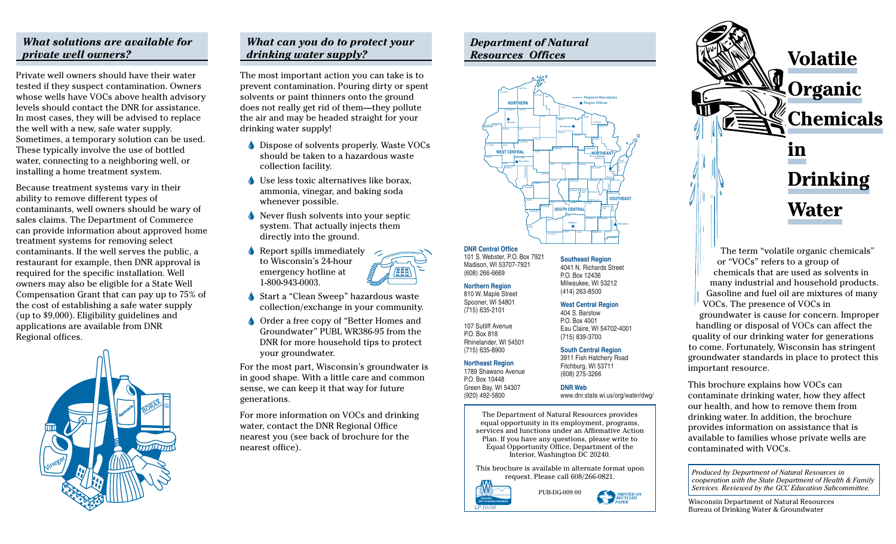# *What solutions are available for private well owners?*

Private well owners should have their water tested if they suspect contamination. Owners whose wells have VOCs above health advisory levels should contact the DNR for assistance. In most cases, they will be advised to replace the well with a new, safe water supply. Sometimes, a temporary solution can be used. These typically involve the use of bottled water, connecting to a neighboring well, or installing a home treatment system.

Because treatment systems vary in their ability to remove different types of contaminants, well owners should be wary of sales claims. The Department of Commerce can provide information about approved home treatment systems for removing select contaminants. If the well serves the public, a restaurant for example, then DNR approval is required for the specific installation. Well owners may also be eligible for a State Well Compensation Grant that can pay up to 75% of the cost of establishing a safe water supply (up to \$9,000). Eligibility guidelines and applications are available from DNR Regional offices.



# *What can you do to protect your drinking water supply?*

The most important action you can take is to prevent contamination. Pouring dirty or spent solvents or paint thinners onto the ground does not really get rid of them—they pollute the air and may be headed straight for your drinking water supply!

- Dispose of solvents properly. Waste VOCs should be taken to a hazardous waste collection facility.
- Use less toxic alternatives like borax, ammonia, vinegar, and baking soda whenever possible.
- Never flush solvents into your septic system. That actually injects them directly into the ground.

 $\triangle$  Report spills immediately to Wisconsin's 24-hour emergency hotline at 1-800-943-0003.



Order a free copy of "Better Homes and Groundwater" PUBL WR386-95 from the DNR for more household tips to protect your groundwater.

For the most part, Wisconsin's groundwater is in good shape. With a little care and common sense, we can keep it that way for future generations.

For more information on VOCs and drinking water, contact the DNR Regional Office nearest you (see back of brochure for the nearest office).





#### **DNR Central Office** 101 S. Webster, P.O. Box 7921

(608) 266-6669 **Northern Region** 810 W. Maple Street Spooner, WI 54801 (715) 635-2101 107 Sutliff Avenue P.O. Box 818 Rhinelander, WI 54501 (715) 635-8900

Madison, WI 53707-7921 **Southeast Region** 4041 N. Richards Street P.O. Box 12436 Milwaukee, WI 53212 (414) 263-8500

# **West Central Region**

**DNR Web**

404 S. Barstow P.O. Box 4001 Eau Claire, WI 54702-4001 (715) 839-3700

### **South Central Region**

www.dnr.state.wi.us/org/water/dwg/

**Northeast Region** 1789 Shawano Avenue 3911 Fish Hatchery Road Fitchburg, WI 53711 (608) 275-3266

P.O. Box 10448 Green Bay, WI 54307 (920) 492-5800

> The Department of Natural Resources provides equal opportunity in its employment, programs, services and functions under an Affirmative Action Plan. If you have any questions, please write to Equal Opportunity Office, Department of the Interior, Washington DC 20240.

This brochure is available in alternate format upon request. Please call 608/266-0821.







The term "volatile organic chemicals" or "VOCs" refers to a group of chemicals that are used as solvents in many industrial and household products. Gasoline and fuel oil are mixtures of many VOCs. The presence of VOCs in groundwater is cause for concern. Improper handling or disposal of VOCs can affect the quality of our drinking water for generations to come. Fortunately, Wisconsin has stringent groundwater standards in place to protect this important resource.

This brochure explains how VOCs can contaminate drinking water, how they affect our health, and how to remove them from drinking water. In addition, the brochure provides information on assistance that is available to families whose private wells are contaminated with VOCs.

*Produced by Department of Natural Resources in cooperation with the State Department of Health & Family Services. Reviewed by the GCC Education Subcommittee.*

Wisconsin Department of Natural Resources Bureau of Drinking Water & Groundwater